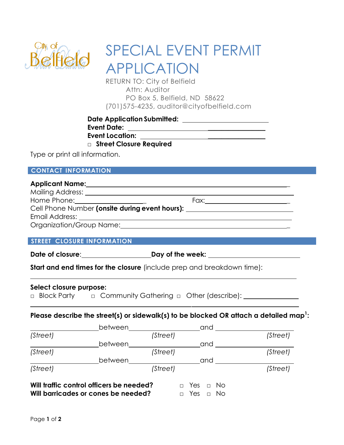

# SPECIAL EVENT PERMIT APPLICATION

RETURN TO: City of Belfield Attn: Auditor PO Box 5, Belfield, ND 58622 (701)575-4235, auditor@cityofbelfield.com

**Date Application Submitted: Event Date:** \_\_\_\_\_\_\_\_\_\_\_\_\_\_\_\_\_ **Event Location:** \_\_\_\_\_\_\_\_\_\_\_\_\_\_\_\_\_

**□ Street Closure Required**

Type or print all information.

#### **CONTACT INFORMATION**

## **Applicant Name: \_**

| Mailing Address:                               |      |  |  |  |  |
|------------------------------------------------|------|--|--|--|--|
| Home Phone: <u>___________________</u>         | Fax: |  |  |  |  |
| Cell Phone Number (onsite during event hours): |      |  |  |  |  |
| Email Address:                                 |      |  |  |  |  |
| Organization/Group Name:                       |      |  |  |  |  |

#### **STREET CLOSURE INFORMATION**

**Date of closure**: **Day of the week:**

**Start and end times for the closure** (include prep and breakdown time):

#### **Select closure purpose:**

□ Block Party □ Community Gathering □ Other (describe): <u>□ □</u>

### **Please describe the street(s) or sidewalk(s) to be blocked OR attach a detailed map<sup>1</sup> :**

|          | between                                                                         |          | and                                          |          |
|----------|---------------------------------------------------------------------------------|----------|----------------------------------------------|----------|
| (Street) |                                                                                 | (Street) |                                              | (Street) |
|          | between                                                                         |          | and                                          |          |
| (Street) |                                                                                 | (Street) |                                              | (Street) |
|          | between                                                                         |          | and                                          |          |
| (Street) |                                                                                 | (Street) |                                              | (Street) |
|          | Will traffic control officers be needed?<br>Will barricades or cones be needed? |          | Yes<br>No.<br>$\Box$<br>No.<br>Yes<br>$\Box$ |          |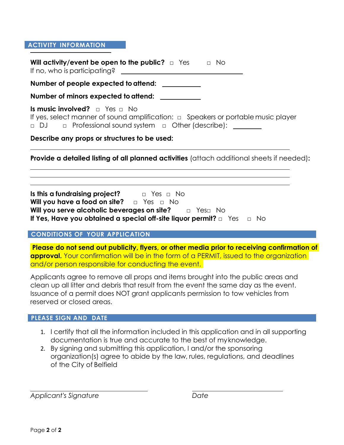#### **ACTIVITY INFORMATION**

**Will activity/event be open to the public?** □ Yes □ No If no, who is participating?

Number of people expected to attend:

**Number of minors expected toattend:** 

**Is music involved?** □ Yes □ No If yes, select manner of sound amplification: □ Speakers or portable music player □ DJ □ Professional sound system □ Other (describe):

**Describe any props or structures to be used:**

**Provide a detailed listing of all planned activities** (attach additional sheets if needed)**:**

**Is this a fundraising project?** □ Yes □ No **Will you have a food on site?** □ Yes □ No **Will you serve alcoholic beverages on site?** □ Yes□ No **If Yes, Have you obtained a special off-site liquor permit?** □ Yes □ No

#### **CONDITIONS OF YOUR APPLICATION**

**Please do not send out publicity, flyers, or other media prior to receiving confirmation of approval.** Your confirmation will be in the form of a PERMIT, issued to the organization and/or person responsible for conducting the event.

Applicants agree to remove all props and items brought into the public areas and clean up all litter and debris that result from the event the same day as the event. Issuance of a permit does NOT grant applicants permission to tow vehicles from reserved or closed areas.

#### **PLEASE SIGN AND DATE**

- 1. I certify that all the information included in this application and in all supporting documentation is true and accurate to the best of myknowledge.
- 2. By signing and submitting this application, I and/or the sponsoring organization(s) agree to abide by the law, rules, regulations, and deadlines of the City of Belfield

*Applicant's Signature Date*